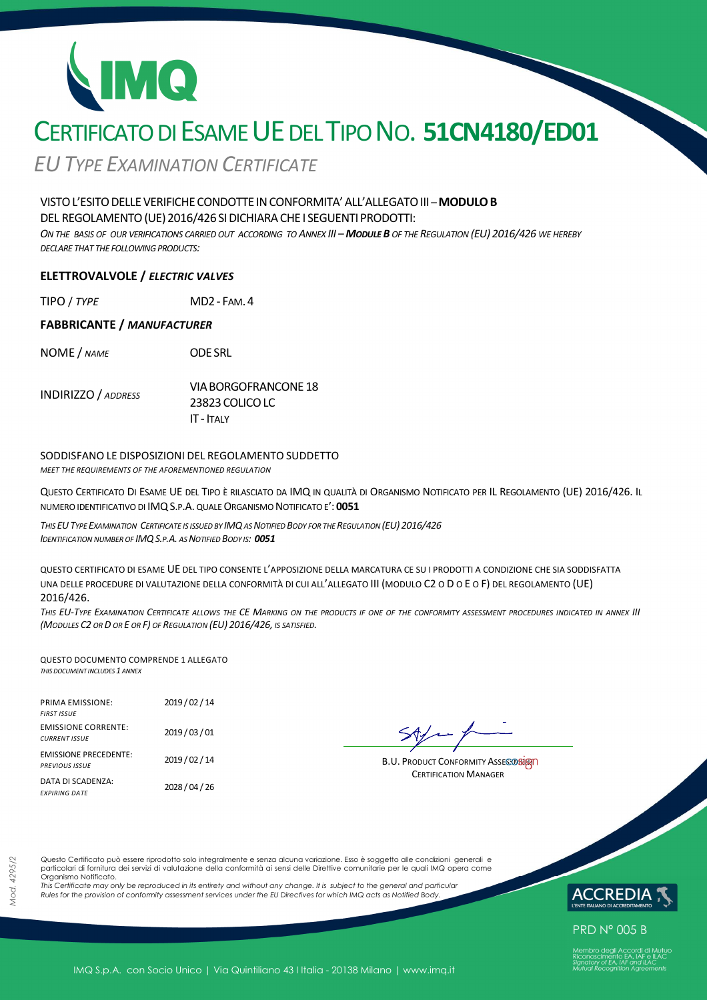# CERTIFICATO DI ESAME UE DEL TIPO NO. **51CN4180/ED01**

*EUTYPE EXAMINATION CERTIFICATE*

#### VISTOL'ESITODELLEVERIFICHECONDOTTE INCONFORMITA'ALL'ALLEGATOIII *–***MODULOB**

DEL REGOLAMENTO (UE) 2016/426 SI DICHIARA CHE I SEGUENTI PRODOTTI:

ON THE BASIS OF OUR VERIFICATIONS CARRIED OUT ACCORDING TO ANNEX III - MODULE B OF THE REGULATION (EU) 2016/426 WE HEREBY *DECLARE THAT THE FOLLOWING PRODUCTS:*

#### **ELETTROVALVOLE /** *ELECTRIC VALVES*

TIPO / TYPE MD2-FAM.4

#### **FABBRICANTE /** *MANUFACTURER*

NOME / *NAME* ODESRL

INDIRIZZO / *ADDRESS* VIABORGOFRANCONE 18 23823COLICOLC IT - ITALY

#### SODDISFANO LE DISPOSIZIONI DEL REGOLAMENTO SUDDETTO

*MEET THE REQUIREMENTS OF THE AFOREMENTIONED REGULATION*

QUESTO CERTIFICATO DI ESAME UE DEL TIPO È RILASCIATO DA IMQ IN QUALITÀ DI ORGANISMO NOTIFICATO PER IL REGOLAMENTO (UE) 2016/426. IL NUMERO IDENTIFICATIVO DI IMQS.P.A. QUALE ORGANISMO NOTIFICATO E': **0051** 

THIS EU TYPE EXAMINATION CERTIFICATE IS ISSUED BY IMQ AS NOTIFIED BODY FOR THE REGULATION (EU) 2016/426 *IDENTIFICATION NUMBER OF IMQS.P.A. AS NOTIFIED BODY IS: 0051*

QUESTO CERTIFICATO DI ESAME UE DEL TIPO CONSENTE L'APPOSIZIONE DELLA MARCATURA CE SU I PRODOTTI A CONDIZIONE CHE SIA SODDISFATTA UNA DELLE PROCEDURE DI VALUTAZIONE DELLA CONFORMITÀ DI CUI ALL'ALLEGATO III (MODULO C2 O D O E O F) DEL REGOLAMENTO (UE) 2016/426.

THIS EU-TYPE EXAMINATION CERTIFICATE ALLOWS THE CE MARKING ON THE PRODUCTS IF ONE OF THE CONFORMITY ASSESSMENT PROCEDURES INDICATED IN ANNEX III *(MODULES C2 OR D OR E OR F) OF REGULATION (EU) 2016/426, IS SATISFIED.* 

QUESTO DOCUMENTO COMPRENDE 1 ALLEGATO *THIS DOCUMENT INCLUDES 1 ANNEX*

| <b>PRIMA EMISSIONE:</b><br><b>FIRST ISSUE</b>         | 2019 / 02 / 14 |
|-------------------------------------------------------|----------------|
| <b>EMISSIONE CORRENTE:</b><br><b>CURRENT ISSUE</b>    | 2019/03/01     |
| <b>EMISSIONE PRECEDENTE:</b><br><b>PREVIOUS ISSUE</b> | 2019 / 02 / 14 |
| DATA DI SCADENZA:<br><b>FXPIRING DATF</b>             | 2028 / 04 / 26 |

**B.U. PRODUCT CONFORMITY ASSESSMERT** CERTIFICATION MANAGER

Questo Certificato può essere riprodotto solo integralmente e senza alcuna variazione. Esso è soggetto alle condizioni generali e particolari di fornitura dei servizi di valutazione della conformità ai sensi delle Direttive comunitarie per le quali IMQ opera come Organismo Notificato.

*This Certificate may only be reproduced in its entirety and without any change. It is subject to the general and particular Rules for the provision of conformity assessment services under the EU Directives for which IMQ acts as Notified Body.* 



**PRD N° 005 B**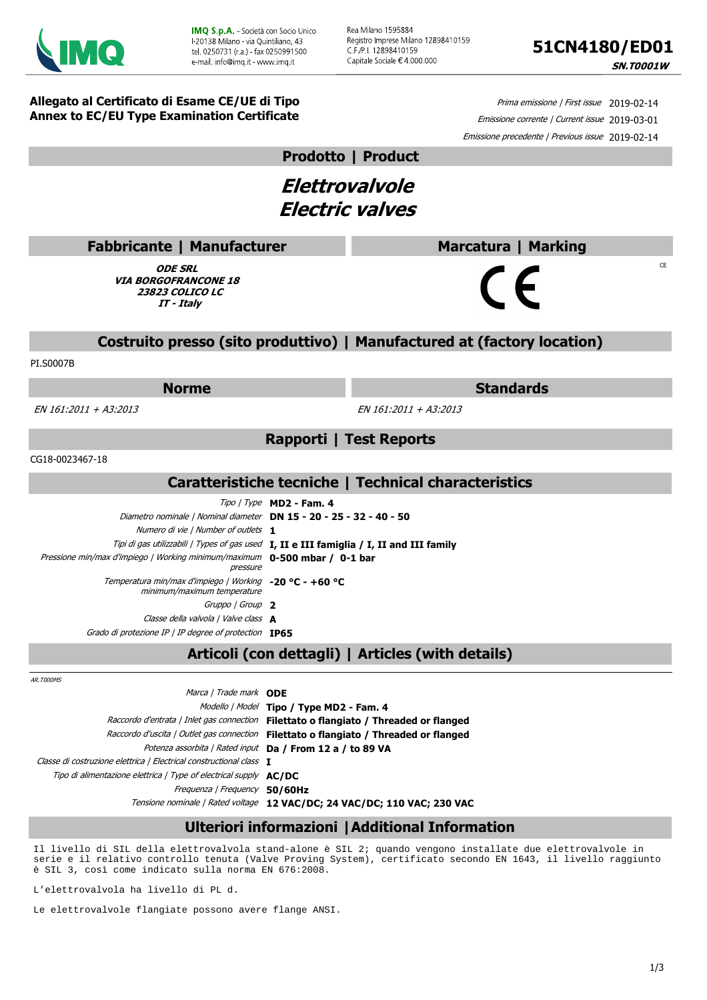

Rea Milano 1595884 Registro Imprese Milano 12898410159 C F /P I. 12898410159 Capitale Sociale € 4.000.000

**SN.T0001W** 

 $CF$ 

**Allegato al Certificato di Esame CE/UE di Tipo Annex to EC/EU Type Examination Certificate**

Prima emissione | First issue 2019-02-14 Emissione corrente | Current issue 2019-03-01 Emissione precedente | Previous issue 2019-02-14

### **Prodotto | Product**

## **Elettrovalvole Electric valves**

**ODE SRL VIA BORGOFRANCONE 18 23823 COLICO LC IT - Italy**

#### **Costruito presso (sito produttivo) | Manufactured at (factory location)**

PI.S0007B

#### **Norme Standards**

**Marcatura | Marking**

 $\epsilon$ 

EN 161:2011 + A3:2013 EN 161:2011 + A3:2013

**Rapporti | Test Reports**

CG18-0023467-18

#### **Caratteristiche tecniche | Technical characteristics**

|                                                                                            | $Tipo / Type$ MD2 - Fam. 4                                                               |
|--------------------------------------------------------------------------------------------|------------------------------------------------------------------------------------------|
| Diametro nominale   Nominal diameter DN 15 - 20 - 25 - 32 - 40 - 50                        |                                                                                          |
| Numero di vie   Number of outlets 1                                                        |                                                                                          |
|                                                                                            | Tipi di gas utilizzabili / Types of gas used I, II e III famiglia / I, II and III family |
| Pressione min/max d'impiego   Working minimum/maximum 0-500 mbar / 0-1 bar<br>pressure     |                                                                                          |
| Temperatura min/max d'impiego   Working $-20$ °C - $+60$ °C<br>minimum/maximum temperature |                                                                                          |
| Gruppo   Group 2                                                                           |                                                                                          |
| Classe della valvola   Valve class A                                                       |                                                                                          |
| Grado di protezione IP   IP degree of protection <b>IP65</b>                               |                                                                                          |

#### **Articoli (con dettagli) | Articles (with details)**

AR.T000MS

| Marca / Trade mark ODE                                                   |                                                                                       |
|--------------------------------------------------------------------------|---------------------------------------------------------------------------------------|
|                                                                          | Modello   Model Tipo   Type MD2 - Fam. 4                                              |
|                                                                          | Raccordo d'entrata / Inlet gas connection Filettato o flangiato / Threaded or flanged |
|                                                                          | Raccordo d'uscita / Outlet gas connection Filettato o flangiato / Threaded or flanged |
|                                                                          | Potenza assorbita   Rated input Da   From 12 a   to 89 VA                             |
| Classe di costruzione elettrica   Electrical constructional class        |                                                                                       |
| Tipo di alimentazione elettrica   Type of electrical supply <b>AC/DC</b> |                                                                                       |
| Frequenza / Frequency 50/60Hz                                            |                                                                                       |
|                                                                          | Tensione nominale   Rated voltage 12 VAC/DC; 24 VAC/DC; 110 VAC; 230 VAC              |

#### **Ulteriori informazioni |Additional Information**

Il livello di SIL della elettrovalvola stand-alone è SIL 2; quando vengono installate due elettrovalvole in serie e il relativo controllo tenuta (Valve Proving System), certificato secondo EN 1643, il livello raggiunto è SIL 3, così come indicato sulla norma EN 676:2008.

L'elettrovalvola ha livello di PL d.

Le elettrovalvole flangiate possono avere flange ANSI.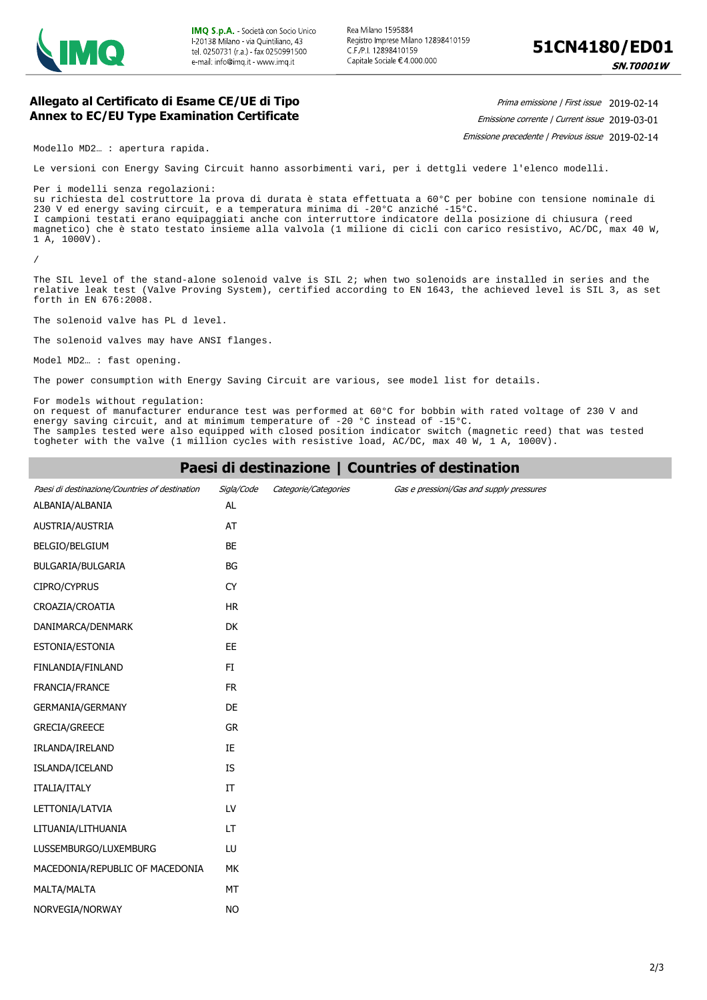

**SN.T0001W** 

#### **Allegato al Certificato di Esame CE/UE di Tipo Annex to EC/EU Type Examination Certificate**

Prima emissione | First issue 2019-02-14

Emissione corrente | Current issue 2019-03-01

Emissione precedente | Previous issue 2019-02-14

Modello MD2… : apertura rapida.

Le versioni con Energy Saving Circuit hanno assorbimenti vari, per i dettgli vedere l'elenco modelli.

Per i modelli senza regolazioni: su richiesta del costruttore la prova di durata è stata effettuata a 60°C per bobine con tensione nominale di 230 V ed energy saving circuit, e a temperatura minima di -20°C anziché -15°C. I campioni testati erano equipaggiati anche con interruttore indicatore della posizione di chiusura (reed magnetico) che è stato testato insieme alla valvola (1 milione di cicli con carico resistivo, AC/DC, max 40 W, 1 A, 1000V).

/

The SIL level of the stand-alone solenoid valve is SIL 2; when two solenoids are installed in series and the relative leak test (Valve Proving System), certified according to EN 1643, the achieved level is SIL 3, as set forth in EN 676:2008.

The solenoid valve has PL d level.

The solenoid valves may have ANSI flanges.

Model MD2… : fast opening.

The power consumption with Energy Saving Circuit are various, see model list for details.

For models without regulation:

on request of manufacturer endurance test was performed at 60°C for bobbin with rated voltage of 230 V and energy saving circuit, and at minimum temperature of -20 °C instead of -15°C. The samples tested were also equipped with closed position indicator switch (magnetic reed) that was tested togheter with the valve (1 million cycles with resistive load, AC/DC, max 40 W, 1 A, 1000V).

#### **Paesi di destinazione | Countries of destination**

| Paesi di destinazione/Countries of destination | Sigla/Code                 | Categorie/Categories | Gas e pressioni/Gas and supply pressures |
|------------------------------------------------|----------------------------|----------------------|------------------------------------------|
| ALBANIA/ALBANIA                                | AL                         |                      |                                          |
| AUSTRIA/AUSTRIA                                | AT                         |                      |                                          |
| BELGIO/BELGIUM                                 | BE                         |                      |                                          |
| BULGARIA/BULGARIA                              | <b>BG</b>                  |                      |                                          |
| CIPRO/CYPRUS                                   | <b>CY</b>                  |                      |                                          |
| CROAZIA/CROATIA                                | <b>HR</b>                  |                      |                                          |
| DANIMARCA/DENMARK                              | DK                         |                      |                                          |
| ESTONIA/ESTONIA                                | EE                         |                      |                                          |
| FINLANDIA/FINLAND                              | FI                         |                      |                                          |
| FRANCIA/FRANCE                                 | <b>FR</b>                  |                      |                                          |
| GERMANIA/GERMANY                               | DE                         |                      |                                          |
| GRECIA/GREECE                                  | GR                         |                      |                                          |
| IRLANDA/IRELAND                                | IE                         |                      |                                          |
| ISLANDA/ICELAND                                | IS                         |                      |                                          |
| ITALIA/ITALY                                   | $\ensuremath{\mathsf{IT}}$ |                      |                                          |
| LETTONIA/LATVIA                                | LV                         |                      |                                          |
| LITUANIA/LITHUANIA                             | LT                         |                      |                                          |
| LUSSEMBURGO/LUXEMBURG                          | LU                         |                      |                                          |
| MACEDONIA/REPUBLIC OF MACEDONIA                | МK                         |                      |                                          |
| MALTA/MALTA                                    | MT                         |                      |                                          |
| NORVEGIA/NORWAY                                | <b>NO</b>                  |                      |                                          |